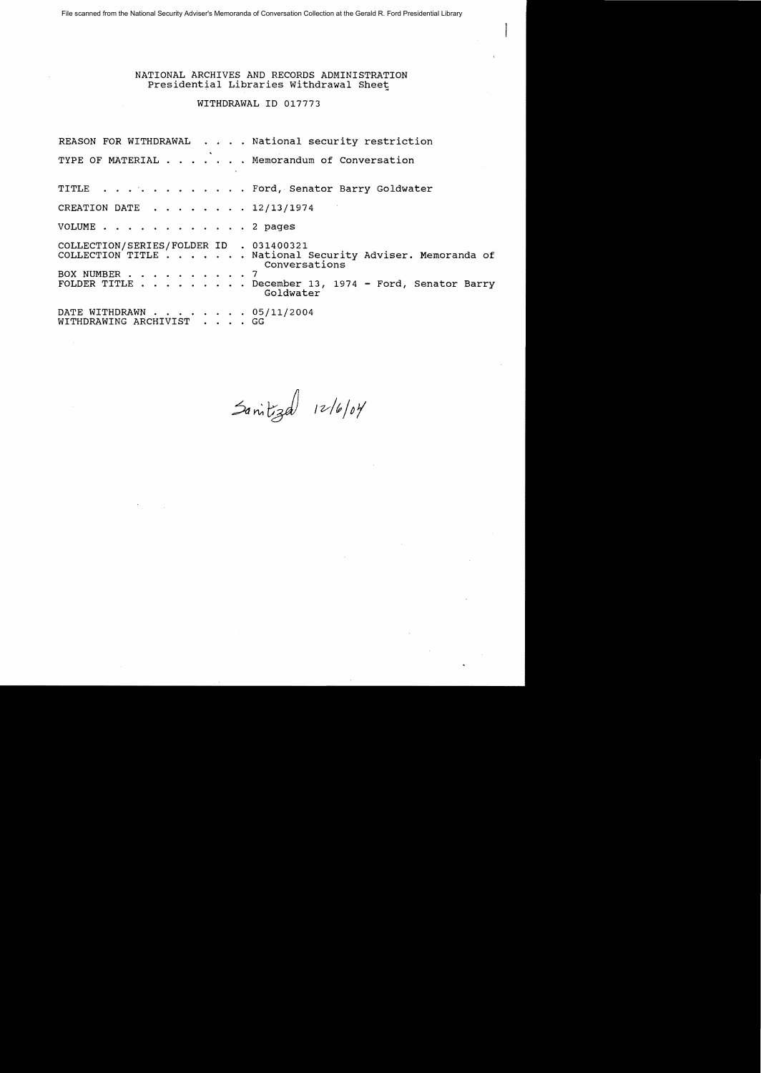File scanned from the National Security Adviser's Memoranda of Conversation Collection at the Gerald R. Ford Presidential Library

# NATIONAL ARCHIVES AND RECORDS ADMINISTRATION TIONAL ARCHIVES AND RECORDS ADMINISTRATI<br>Presidential Libraries Withdrawal Sheet

## WITHDRAWAL ID 017773

REASON FOR WITHDRAWAL . . . . National security restriction TYPE OF MATERIAL . . . . . . Memorandum of Conversation TITLE . . . . . . . . . . . . Ford, Senator Barry Goldwater CREATION DATE  $\ldots$ ,  $\ldots$ , 12/13/1974 VOLUME . . . . . . . . . . . . 2 pages COLLECTION/SERIES/FOLDER ID . 031400321 COLLECTION/SERIES/FOLDER ID . 031400321<br>COLLECTION/SERIES/FOLDER ID . 031400321<br>COLLECTION TITLE . . . . . . . National Security Adviser. Memoranda of Conversations COLLECTION TITLE . . . . . . . . . . .<br>BOX NUMBER . . . . . . . . . . 7<br>FOIDED TITLE BOX NUMBER . . . . . . . . . . 7<br>FOLDER TITLE . . . . . . . . December 13, 1974 - Ford, Senator Barry Goldwater DATE WITHDRAWN . . . . . . . 05/11/2004 WITHDRAWING ARCHIVIST . . . . GG

 $3a$ nitizal  $12/6/64$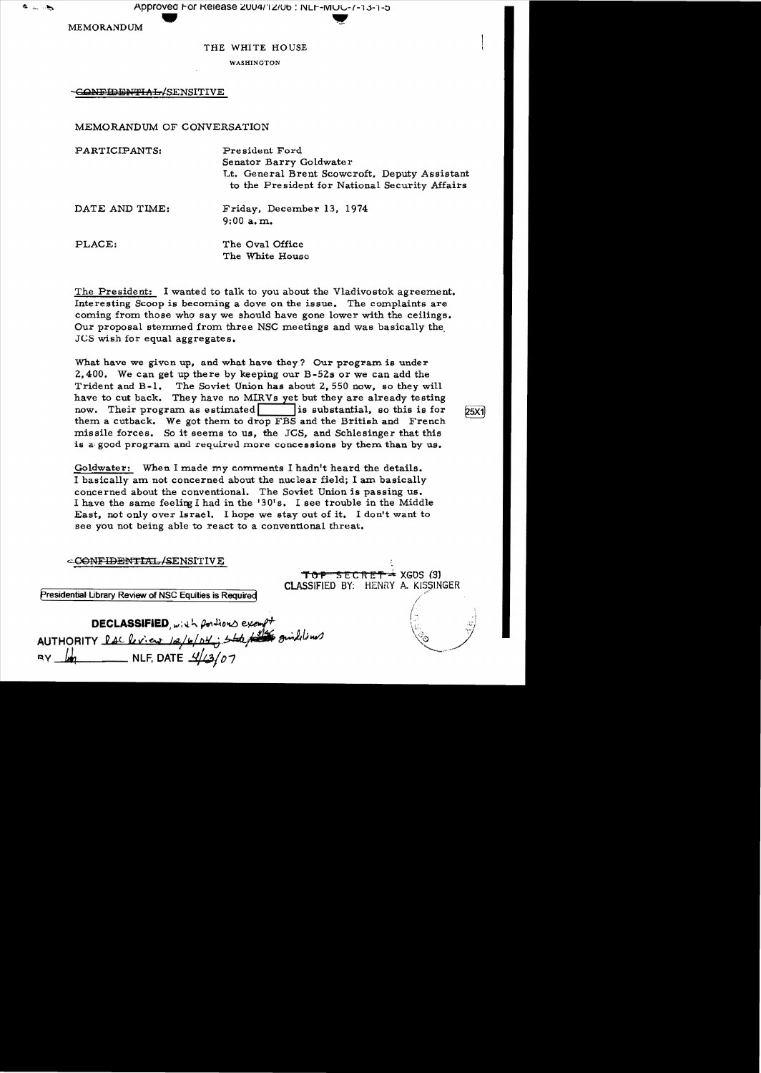Approved For Release 2004/12/06 : NLF-IVI U 1.13-1-5<br>M

MEMORANDUM

きょいち

#### THE WHITE HOUSE

WASHINGTON

CONFIDENTIAL/SENSITIVE

MEMORANDUM OF CONVERSATION

| PARTICIPANTS:  | President Ford<br>Senator Barry Goldwater<br>Lt. General Brent Scowcroft, Deputy Assistant<br>to the President for National Security Affairs |
|----------------|----------------------------------------------------------------------------------------------------------------------------------------------|
| DATE AND TIME: | Friday, December 13, 1974<br>$9:00$ a.m.                                                                                                     |
| PLACE:         | The Oval Office<br>The White House                                                                                                           |

The President: I wanted to talk to you about the Vladivostok agreement. Interesting Scoop is becoming a dove on the issue. The complaints are coming from those who say we should have gone lower with the ceilings. Our proposal stemmed from three NSC meetings and was basically the JCS wish for equal aggregates.

What have we given up, and what have they? Our program is under 2,400. We can get up there by keeping our B-52s or we can add the Trident and B-1. The Soviet Union has about 2,550 now, so they will have to cut back. They have no MIRVs yet but they are already testing now. Their program as estimated is substantial, so this is for  $25X1$ them a cutback. We got them to drop FBS and the British and French missile forces. So it seems to us, the JCS, and Schlesinger that this is a good program and required more concessions by them than by us.

Goldwater: When I made my comments I hadn't heard the details. I basically am not concerned about the nuclear field; I am basically concerned about the conventional. The Soviet Union is passing us. I have the same feeling I had in the '30's. I see trouble in the Middle East, not only over Israel. I hope we stay out of it. I don't want to see you not being able to react to a conventional threat.

|                                                                                                 | أزن                                                                  |
|-------------------------------------------------------------------------------------------------|----------------------------------------------------------------------|
| <b>DECLASSIFIED</b> , with portions exempt<br>AUTHORITY lack ries 12/6/04; state for guidelines | $TOP$ SECRET $\approx$ XGDS (3)<br>CLASSIFIED BY: HENRY A. KISSINGER |

NLF, DATE  $\frac{\mathcal{1}}{2}$  (07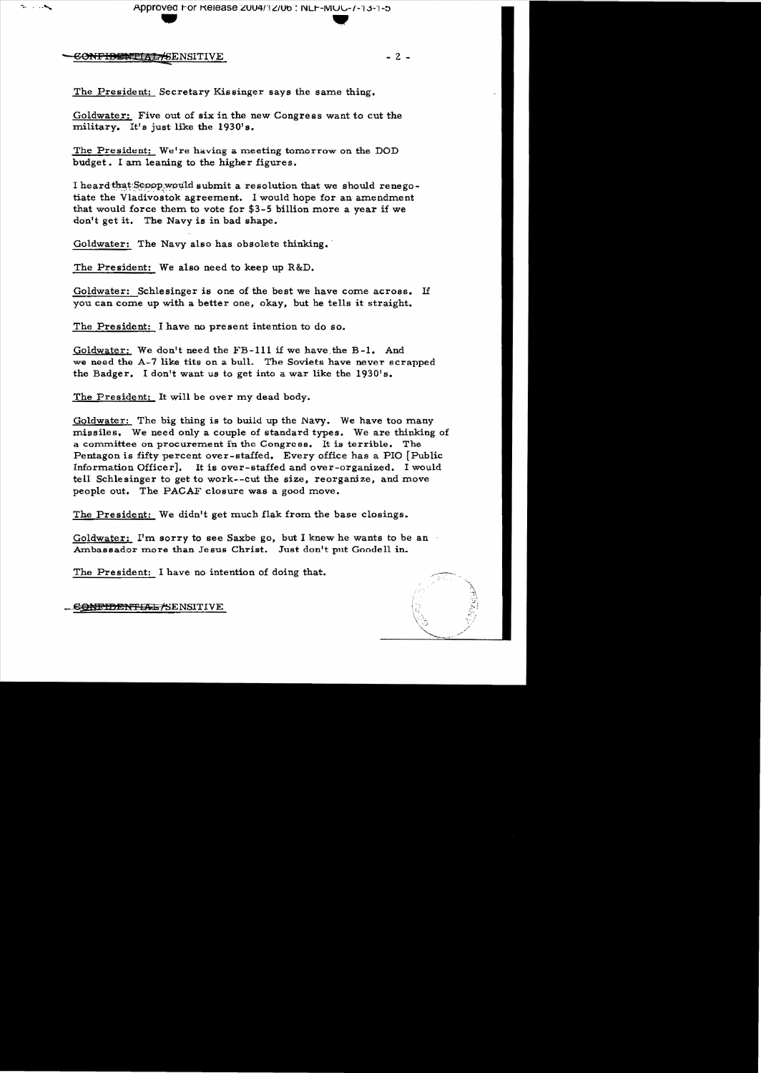Approved For Release 2004/12/06 : NLF-MUC-7-13-1-5

CONFIDENTIAL SENSITIVE

The Controller

 $-2-$ 

The President: Secretary Kissinger says the same thing.

Goldwater: Five out of six in the new Congress want to cut the military. It's just like the 1930's.

The President: We're having a meeting tomorrow on the DOD budget. I am leaning to the higher figures.

I heard that Scoop would submit a resolution that we should renegotiate the Vladivostok agreement. I would hope for an amendment that would force them to vote for \$3-5 billion more a year if we don't get it. The Navy is in bad shape.

Goldwater: The Navy also has obsolete thinking.

The President: We also need to keep up R&D.

Goldwater: Schlesinger is one of the best we have come across. If you can come up with a better one, okay, but he tells it straight.

The President: I have no present intention to do so.

Goldwater: We don't need the FB-111 if we have the B-1. And we need the A-7 like tits on a bull. The Soviets have never scrapped the Badger. I don't want us to get into a war like the 1930's.

The President: It will be over my dead body.

Goldwater: The big thing is to build up the Navy. We have too many missiles. We need only a couple of standard types. We are thinking of a committee on procurement in the Congress. It is terrible. The Pentagon is fifty percent over-staffed. Every office has a PIO [Public Information Officer]. It is over-staffed and over-organized. I would tell Schlesinger to get to work--cut the size, reorganize, and move people out. The PACAF closure was a good move.

The President: We didn't get much flak from the base closings.

Goldwater: I'm sorry to see Saxbe go, but I knew he wants to be an Ambassador more than Jesus Christ. Just don't put Goodell in.

The President: I have no intention of doing that.

**CONFIDENTIAL/SENSITIVE**